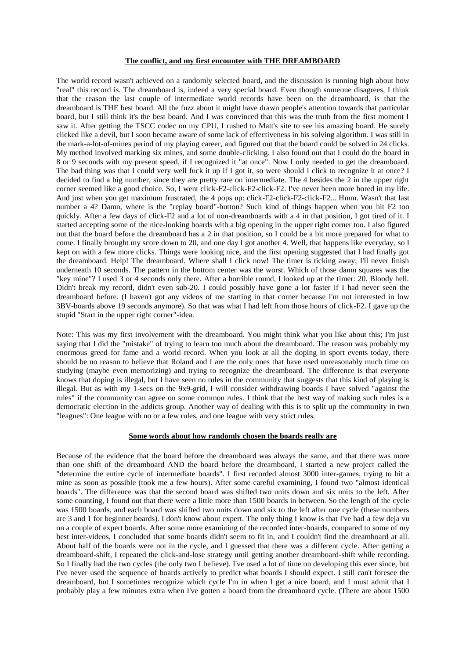## **The conflict, and my first encounter with THE DREAMBOARD**

The world record wasn't achieved on a randomly selected board, and the discussion is running high about how "real" this record is. The dreamboard is, indeed a very special board. Even though someone disagrees, I think that the reason the last couple of intermediate world records have been on the dreamboard, is that the dreamboard is THE best board. All the fuzz about it might have drawn people's attention towards that particular board, but I still think it's the best board. And I was convinced that this was the truth from the first moment I saw it. After getting the TSCC codec on my CPU, I rushed to Matt's site to see his amazing board. He surely clicked like a devil, but I soon became aware of some lack of effectiveness in his solving algorithm. I was still in the mark-a-lot-of-mines period of my playing career, and figured out that the board could be solved in 24 clicks. My method involved marking six mines, and some double-clicking. I also found out that I could do the board in 8 or 9 seconds with my present speed, if I recognized it "at once". Now I only needed to get the dreamboard. The bad thing was that I could very well fuck it up if I got it, so were should I click to recognize it at once? I decided to find a big number, since they are pretty rare on intermediate. The 4 besides the 2 in the upper right corner seemed like a good choice. So, I went click-F2-click-F2-click-F2. I've never been more bored in my life. And just when you get maximum frustrated, the 4 pops up: click-F2-click-F2-click-F2... Hmm. Wasn't that last number a 4? Damn, where is the "replay board"-button? Such kind of things happen when you hit F2 too quickly. After a few days of click-F2 and a lot of non-dreamboards with a 4 in that position, I got tired of it. I started accepting some of the nice-looking boards with a big opening in the upper right corner too. I also figured out that the board before the dreamboard has a 2 in that position, so I could be a bit more prepared for what to come. I finally brought my score down to 20, and one day I got another 4. Well, that happens like everyday, so I kept on with a few more clicks. Things were looking nice, and the first opening suggested that I had finally got the dreamboard. Help! The dreamboard. Where shall I click now! The timer is ticking away; I'll never finish underneath 10 seconds. The pattern in the bottom center was the worst. Which of those damn squares was the "key mine"? I used 3 or 4 seconds only there. After a horrible round, I looked up at the timer: 20. Bloody hell. Didn't break my record, didn't even sub-20. I could possibly have gone a lot faster if I had never seen the dreamboard before. (I haven't got any videos of me starting in that corner because I'm not interested in low 3BV-boards above 19 seconds anymore). So that was what I had left from those hours of click-F2. I gave up the stupid "Start in the upper right corner"-idea.

Note: This was my first involvement with the dreamboard. You might think what you like about this; I'm just saying that I did the "mistake" of trying to learn too much about the dreamboard. The reason was probably my enormous greed for fame and a world record. When you look at all the doping in sport events today, there should be no reason to believe that Roland and I are the only ones that have used unreasonably much time on studying (maybe even memorizing) and trying to recognize the dreamboard. The difference is that everyone knows that doping is illegal, but I have seen no rules in the community that suggests that this kind of playing is illegal. But as with my 1-secs on the 9x9-grid, I will consider withdrawing boards I have solved "against the rules" if the community can agree on some common rules. I think that the best way of making such rules is a democratic election in the addicts group. Another way of dealing with this is to split up the community in two "leagues": One league with no or a few rules, and one league with very strict rules.

## **Some words about how randomly chosen the boards really are**

Because of the evidence that the board before the dreamboard was always the same, and that there was more than one shift of the dreamboard AND the board before the dreamboard, I started a new project called the "determine the entire cycle of intermediate boards". I first recorded almost 3000 inter-games, trying to hit a mine as soon as possible (took me a few hours). After some careful examining, I found two "almost identical boards". The difference was that the second board was shifted two units down and six units to the left. After some counting, I found out that there were a little more than 1500 boards in between. So the length of the cycle was 1500 boards, and each board was shifted two units down and six to the left after one cycle (these numbers are 3 and 1 for beginner boards). I don't know about expert. The only thing I know is that I've had a few deja vu on a couple of expert boards. After some more examining of the recorded inter-boards, compared to some of my best inter-videos, I concluded that some boards didn't seem to fit in, and I couldn't find the dreamboard at all. About half of the boards were not in the cycle, and I guessed that there was a different cycle. After getting a dreamboard-shift, I repeated the click-and-lose strategy until getting another dreamboard-shift while recording. So I finally had the two cycles (the only two I believe). I've used a lot of time on developing this ever since, but I've never used the sequence of boards actively to predict what boards I should expect. I still can't foresee the dreamboard, but I sometimes recognize which cycle I'm in when I get a nice board, and I must admit that I probably play a few minutes extra when I've gotten a board from the dreamboard cycle. (There are about 1500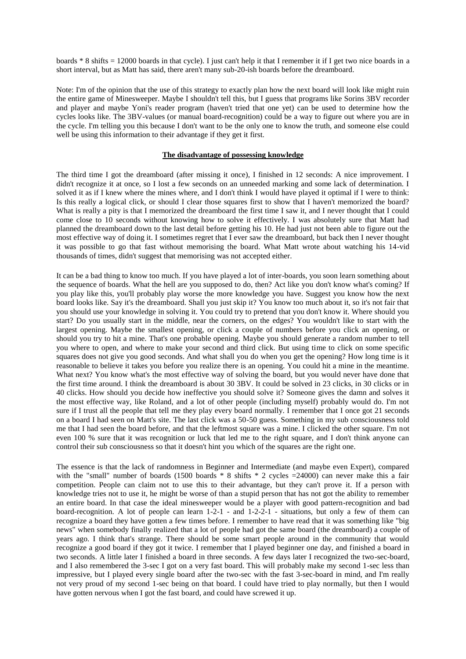boards \* 8 shifts = 12000 boards in that cycle). I just can't help it that I remember it if I get two nice boards in a short interval, but as Matt has said, there aren't many sub-20-ish boards before the dreamboard.

Note: I'm of the opinion that the use of this strategy to exactly plan how the next board will look like might ruin the entire game of Minesweeper. Maybe I shouldn't tell this, but I guess that programs like Sorins 3BV recorder and player and maybe Yoni's reader program (haven't tried that one yet) can be used to determine how the cycles looks like. The 3BV-values (or manual board-recognition) could be a way to figure out where you are in the cycle. I'm telling you this because I don't want to be the only one to know the truth, and someone else could well be using this information to their advantage if they get it first.

## **The disadvantage of possessing knowledge**

The third time I got the dreamboard (after missing it once), I finished in 12 seconds: A nice improvement. I didn't recognize it at once, so I lost a few seconds on an unneeded marking and some lack of determination. I solved it as if I knew where the mines where, and I don't think I would have played it optimal if I were to think: Is this really a logical click, or should I clear those squares first to show that I haven't memorized the board? What is really a pity is that I memorized the dreamboard the first time I saw it, and I never thought that I could come close to 10 seconds without knowing how to solve it effectively. I was absolutely sure that Matt had planned the dreamboard down to the last detail before getting his 10. He had just not been able to figure out the most effective way of doing it. I sometimes regret that I ever saw the dreamboard, but back then I never thought it was possible to go that fast without memorising the board. What Matt wrote about watching his 14-vid thousands of times, didn't suggest that memorising was not accepted either.

It can be a bad thing to know too much. If you have played a lot of inter-boards, you soon learn something about the sequence of boards. What the hell are you supposed to do, then? Act like you don't know what's coming? If you play like this, you'll probably play worse the more knowledge you have. Suggest you know how the next board looks like. Say it's the dreamboard. Shall you just skip it? You know too much about it, so it's not fair that you should use your knowledge in solving it. You could try to pretend that you don't know it. Where should you start? Do you usually start in the middle, near the corners, on the edges? You wouldn't like to start with the largest opening. Maybe the smallest opening, or click a couple of numbers before you click an opening, or should you try to hit a mine. That's one probable opening. Maybe you should generate a random number to tell you where to open, and where to make your second and third click. But using time to click on some specific squares does not give you good seconds. And what shall you do when you get the opening? How long time is it reasonable to believe it takes you before you realize there is an opening. You could hit a mine in the meantime. What next? You know what's the most effective way of solving the board, but you would never have done that the first time around. I think the dreamboard is about 30 3BV. It could be solved in 23 clicks, in 30 clicks or in 40 clicks. How should you decide how ineffective you should solve it? Someone gives the damn and solves it the most effective way, like Roland, and a lot of other people (including myself) probably would do. I'm not sure if I trust all the people that tell me they play every board normally. I remember that I once got 21 seconds on a board I had seen on Matt's site. The last click was a 50-50 guess. Something in my sub consciousness told me that I had seen the board before, and that the leftmost square was a mine. I clicked the other square. I'm not even 100 % sure that it was recognition or luck that led me to the right square, and I don't think anyone can control their sub consciousness so that it doesn't hint you which of the squares are the right one.

The essence is that the lack of randomness in Beginner and Intermediate (and maybe even Expert), compared with the "small" number of boards (1500 boards \* 8 shifts \* 2 cycles =24000) can never make this a fair competition. People can claim not to use this to their advantage, but they can't prove it. If a person with knowledge tries not to use it, he might be worse of than a stupid person that has not got the ability to remember an entire board. In that case the ideal minesweeper would be a player with good pattern-recognition and bad board-recognition. A lot of people can learn 1-2-1 - and 1-2-2-1 - situations, but only a few of them can recognize a board they have gotten a few times before. I remember to have read that it was something like "big news" when somebody finally realized that a lot of people had got the same board (the dreamboard) a couple of years ago. I think that's strange. There should be some smart people around in the community that would recognize a good board if they got it twice. I remember that I played beginner one day, and finished a board in two seconds. A little later I finished a board in three seconds. A few days later I recognized the two-sec-board, and I also remembered the 3-sec I got on a very fast board. This will probably make my second 1-sec less than impressive, but I played every single board after the two-sec with the fast 3-sec-board in mind, and I'm really not very proud of my second 1-sec being on that board. I could have tried to play normally, but then I would have gotten nervous when I got the fast board, and could have screwed it up.